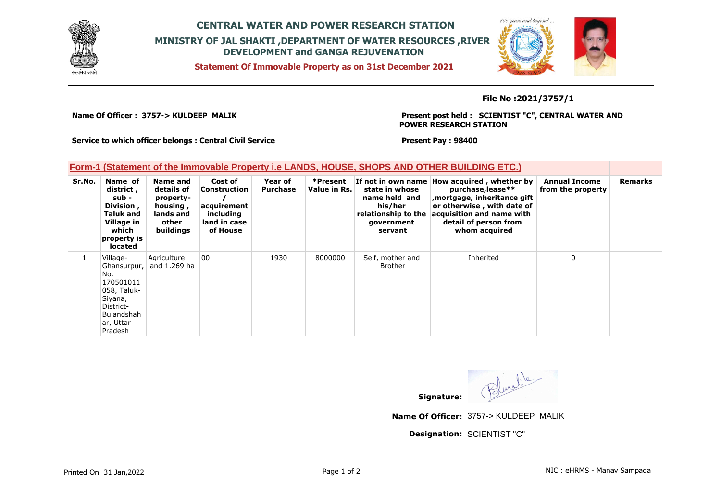

## **CENTRAL WATER AND POWER RESEARCH STATION MINISTRY OF JAL SHAKTI ,DEPARTMENT OF WATER RESOURCES ,RIVER DEVELOPMENT and GANGA REJUVENATION**

**Statement Of Immovable Property as on 31st December 2021**



**File No :2021/3757/1**

**Name Of Officer : 3757-> KULDEEP MALIK** 

**Present post held : SCIENTIST "C", CENTRAL WATER AND POWER RESEARCH STATION**

**Service to which officer belongs : Central Civil Service**

**Present Pay : 98400**

## **Form-1 (Statement of the Immovable Property i.e LANDS, HOUSE, SHOPS AND OTHER BUILDING ETC.)**

| Sr.No. | Name of<br>district,<br>sub -<br>Division,<br>Taluk and<br>Village in<br>which<br>property is<br><b>located</b> | Name and<br>details of<br>property-<br>housing,<br>lands and<br>other<br>buildings | Cost of<br>Construction<br>acquirement<br>including<br>land in case<br>of House | Year of<br><b>Purchase</b> | *Present<br>Value in Rs. | state in whose<br>name held and<br>his/her<br>relationship to the<br>government<br>servant | If not in own name How acquired, whether by<br>purchase, lease**<br>, mortgage, inheritance gift<br>or otherwise, with date of<br>acquisition and name with<br>detail of person from<br>whom acquired | <b>Annual Income</b><br>from the property | <b>Remarks</b> |
|--------|-----------------------------------------------------------------------------------------------------------------|------------------------------------------------------------------------------------|---------------------------------------------------------------------------------|----------------------------|--------------------------|--------------------------------------------------------------------------------------------|-------------------------------------------------------------------------------------------------------------------------------------------------------------------------------------------------------|-------------------------------------------|----------------|
|        | Village-<br>No.<br>170501011<br>058, Taluk-<br>Siyana,<br>District-<br>Bulandshah<br>ar, Uttar<br>Pradesh       | Agriculture<br>Ghansurpur, land 1.269 ha                                           | 00                                                                              | 1930                       | 8000000                  | Self, mother and<br><b>Brother</b>                                                         | Inherited                                                                                                                                                                                             | 0                                         |                |

Bluelle **Signature:**

**Name Of Officer:** 3757-> KULDEEP MALIK

**Designation:** SCIENTIST "C"

Printed On 31 Jan, 2022 2001 12:00 Page 1 of 2 Page 1 of 2 NIC : eHRMS - Manav Sampada